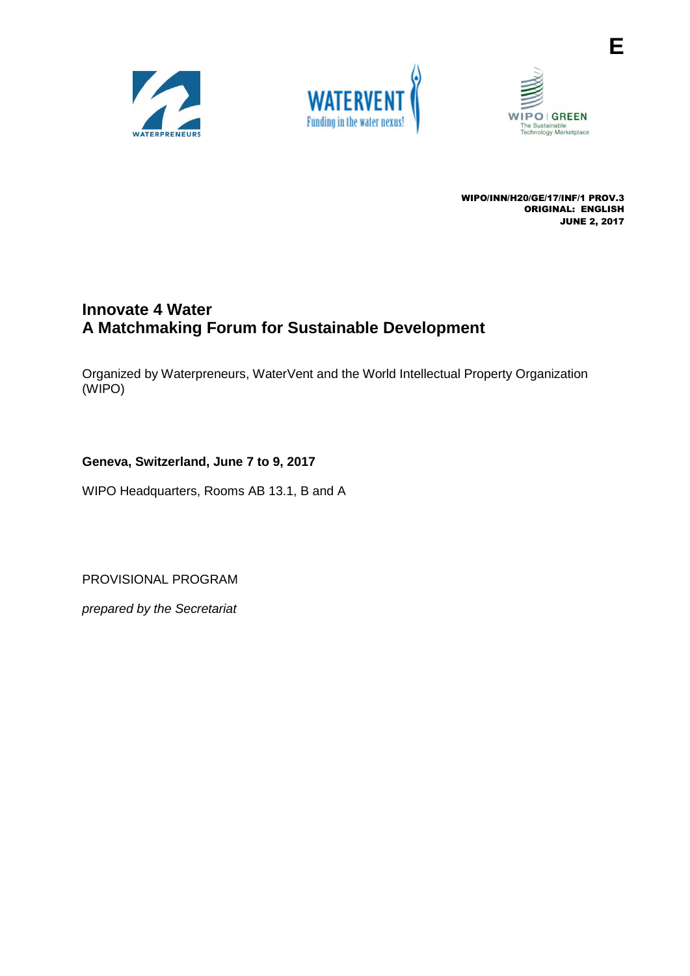





**E**

WIPO/INN/H20/GE/17/INF/1 PROV.3 ORIGINAL: ENGLISH JUNE 2, 2017

# **Innovate 4 Water A Matchmaking Forum for Sustainable Development**

Organized by Waterpreneurs, WaterVent and the World Intellectual Property Organization (WIPO)

# **Geneva, Switzerland, June 7 to 9, 2017**

WIPO Headquarters, Rooms AB 13.1, B and A

PROVISIONAL PROGRAM

*prepared by the Secretariat*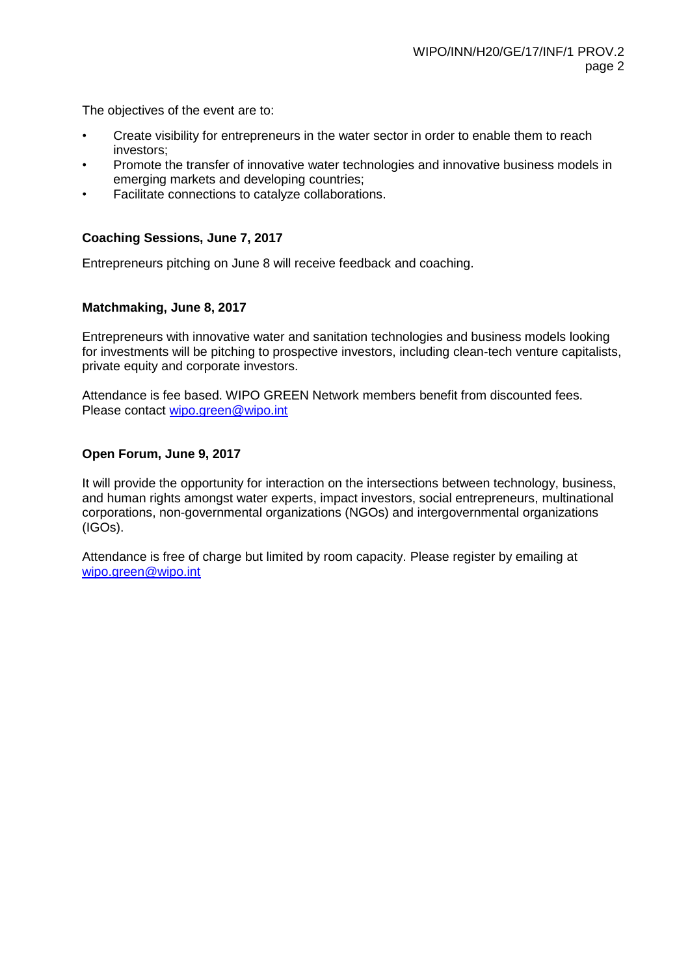The objectives of the event are to:

- Create visibility for entrepreneurs in the water sector in order to enable them to reach investors;
- Promote the transfer of innovative water technologies and innovative business models in emerging markets and developing countries;
- Facilitate connections to catalyze collaborations.

## **Coaching Sessions, June 7, 2017**

Entrepreneurs pitching on June 8 will receive feedback and coaching.

#### **Matchmaking, June 8, 2017**

Entrepreneurs with innovative water and sanitation technologies and business models looking for investments will be pitching to prospective investors, including clean-tech venture capitalists, private equity and corporate investors.

Attendance is fee based. WIPO GREEN Network members benefit from discounted fees. Please contact [wipo.green@wipo.int](mailto:wipo.green@wipo.int)

## **Open Forum, June 9, 2017**

It will provide the opportunity for interaction on the intersections between technology, business, and human rights amongst water experts, impact investors, social entrepreneurs, multinational corporations, non-governmental organizations (NGOs) and intergovernmental organizations (IGOs).

Attendance is free of charge but limited by room capacity. Please register by emailing at [wipo.green@wipo.int](mailto:wipo.green@wipo.int)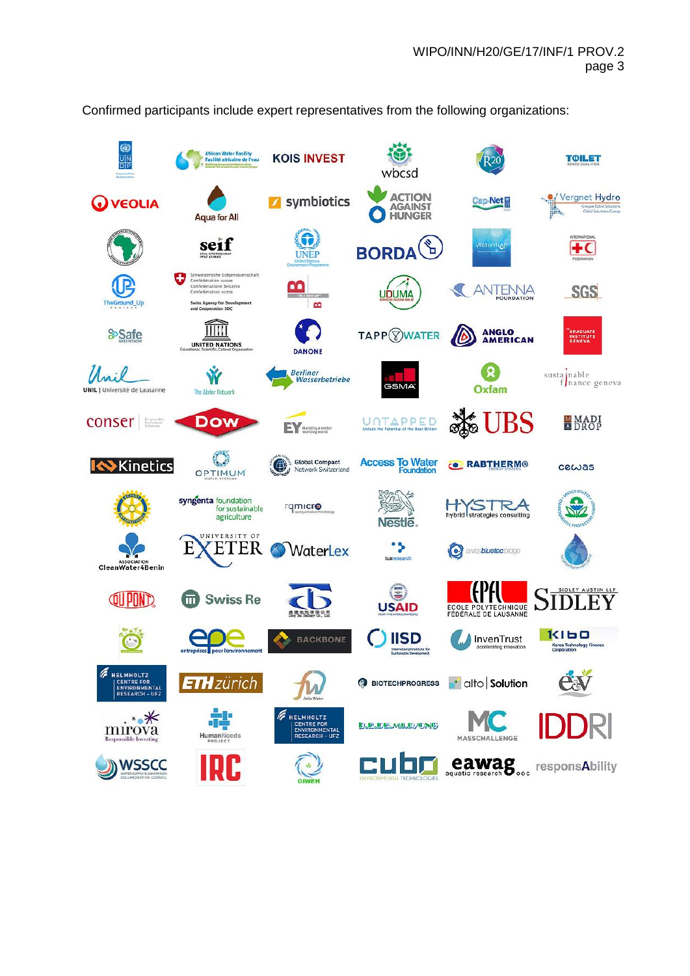

Confirmed participants include expert representatives from the following organizations: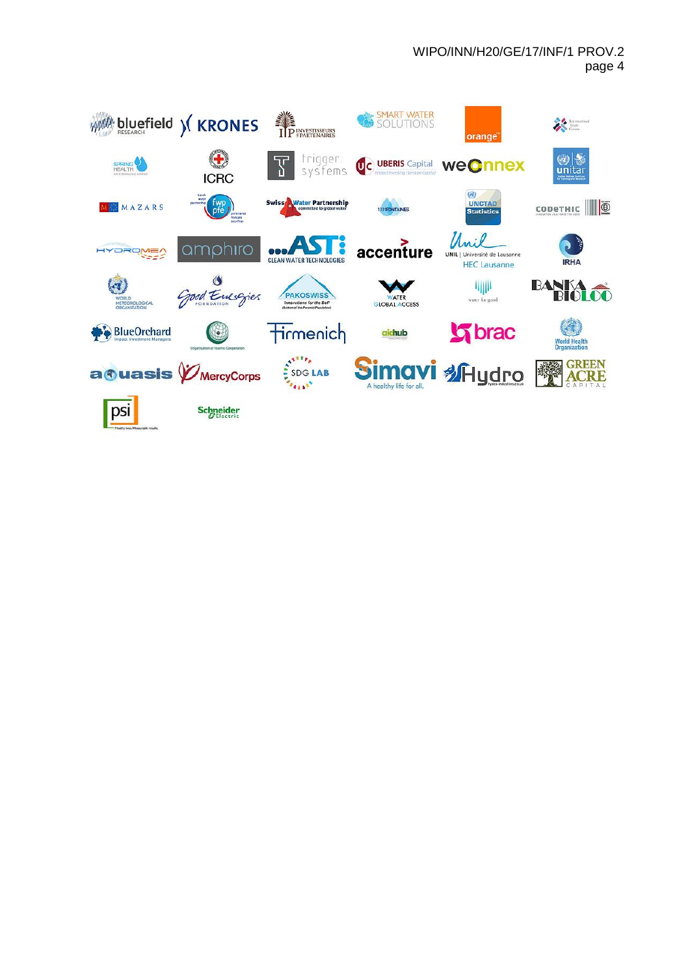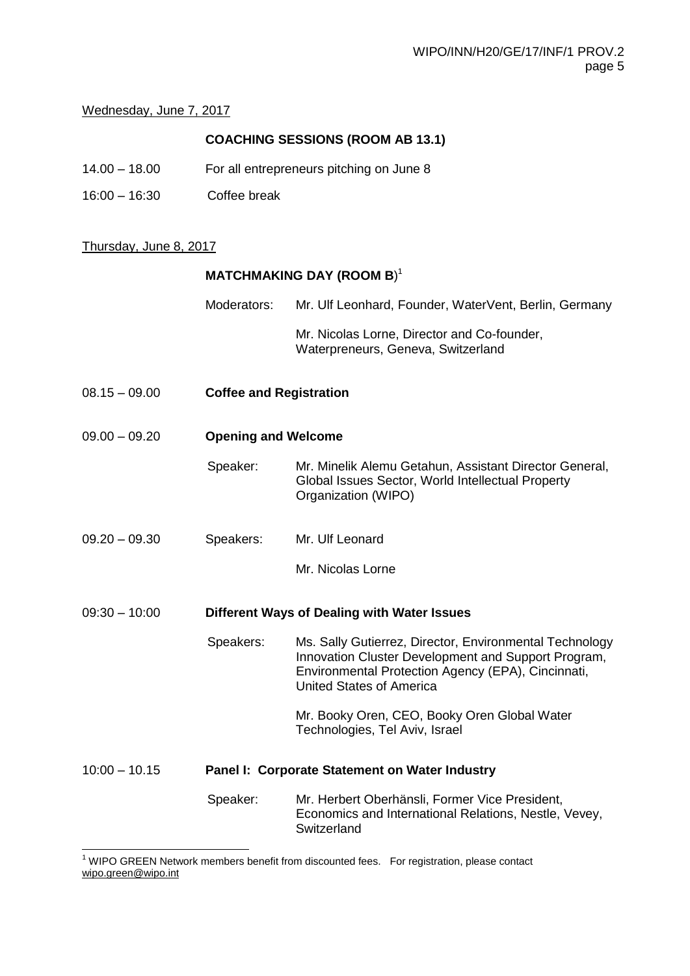## Wednesday, June 7, 2017

# **COACHING SESSIONS (ROOM AB 13.1)**

- 14.00 18.00 For all entrepreneurs pitching on June 8
- 16:00 16:30 Coffee break

#### Thursday, June 8, 2017

## **MATCHMAKING DAY (ROOM B**) 1

| Moderators: | Mr. Ulf Leonhard, Founder, WaterVent, Berlin, Germany                             |  |  |
|-------------|-----------------------------------------------------------------------------------|--|--|
|             | Mr. Nicolas Lorne, Director and Co-founder,<br>Waterpreneurs, Geneva, Switzerland |  |  |

08.15 – 09.00 **Coffee and Registration**

## 09.00 – 09.20 **Opening and Welcome**

- Speaker: Mr. Minelik Alemu Getahun, Assistant Director General, Global Issues Sector, World Intellectual Property Organization (WIPO)
- 09.20 09.30 Speakers: Mr. Ulf Leonard
	- Mr. Nicolas Lorne
- 09:30 10:00 **Different Ways of Dealing with Water Issues**
	- Speakers: Ms. Sally Gutierrez, Director, Environmental Technology Innovation Cluster Development and Support Program, Environmental Protection Agency (EPA), Cincinnati, United States of America

Mr. Booky Oren, CEO, Booky Oren Global Water Technologies, Tel Aviv, Israel

# 10:00 – 10.15 **Panel I: Corporate Statement on Water Industry**

Speaker: Mr. Herbert Oberhänsli, Former Vice President, Economics and International Relations, Nestle, Vevey, **Switzerland** 

  $1$  WIPO GREEN Network members benefit from discounted fees. For registration, please contact wipo.green@wipo.int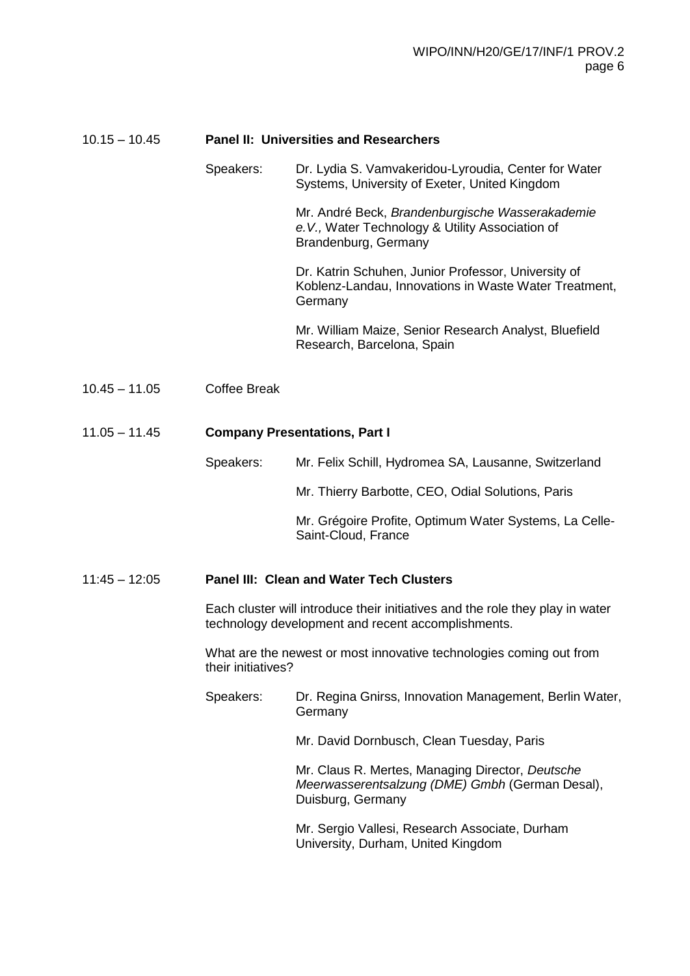| $10.15 - 10.45$ | <b>Panel II: Universities and Researchers</b>                                                                                       |                                                                                                                            |  |  |
|-----------------|-------------------------------------------------------------------------------------------------------------------------------------|----------------------------------------------------------------------------------------------------------------------------|--|--|
|                 | Speakers:                                                                                                                           | Dr. Lydia S. Vamvakeridou-Lyroudia, Center for Water<br>Systems, University of Exeter, United Kingdom                      |  |  |
|                 |                                                                                                                                     | Mr. André Beck, Brandenburgische Wasserakademie<br>e.V., Water Technology & Utility Association of<br>Brandenburg, Germany |  |  |
|                 |                                                                                                                                     | Dr. Katrin Schuhen, Junior Professor, University of<br>Koblenz-Landau, Innovations in Waste Water Treatment,<br>Germany    |  |  |
|                 |                                                                                                                                     | Mr. William Maize, Senior Research Analyst, Bluefield<br>Research, Barcelona, Spain                                        |  |  |
| $10.45 - 11.05$ | <b>Coffee Break</b>                                                                                                                 |                                                                                                                            |  |  |
| $11.05 - 11.45$ | <b>Company Presentations, Part I</b>                                                                                                |                                                                                                                            |  |  |
|                 | Speakers:                                                                                                                           | Mr. Felix Schill, Hydromea SA, Lausanne, Switzerland                                                                       |  |  |
|                 |                                                                                                                                     | Mr. Thierry Barbotte, CEO, Odial Solutions, Paris                                                                          |  |  |
|                 |                                                                                                                                     | Mr. Grégoire Profite, Optimum Water Systems, La Celle-<br>Saint-Cloud, France                                              |  |  |
| $11:45 - 12:05$ | <b>Panel III: Clean and Water Tech Clusters</b>                                                                                     |                                                                                                                            |  |  |
|                 | Each cluster will introduce their initiatives and the role they play in water<br>technology development and recent accomplishments. |                                                                                                                            |  |  |
|                 | What are the newest or most innovative technologies coming out from<br>their initiatives?                                           |                                                                                                                            |  |  |
|                 | Speakers:                                                                                                                           | Dr. Regina Gnirss, Innovation Management, Berlin Water,<br>Germany                                                         |  |  |
|                 |                                                                                                                                     | Mr. David Dornbusch, Clean Tuesday, Paris                                                                                  |  |  |
|                 |                                                                                                                                     | Mr. Claus R. Mertes, Managing Director, Deutsche<br>Meerwasserentsalzung (DME) Gmbh (German Desal),<br>Duisburg, Germany   |  |  |
|                 |                                                                                                                                     | Mr. Sergio Vallesi, Research Associate, Durham<br>University, Durham, United Kingdom                                       |  |  |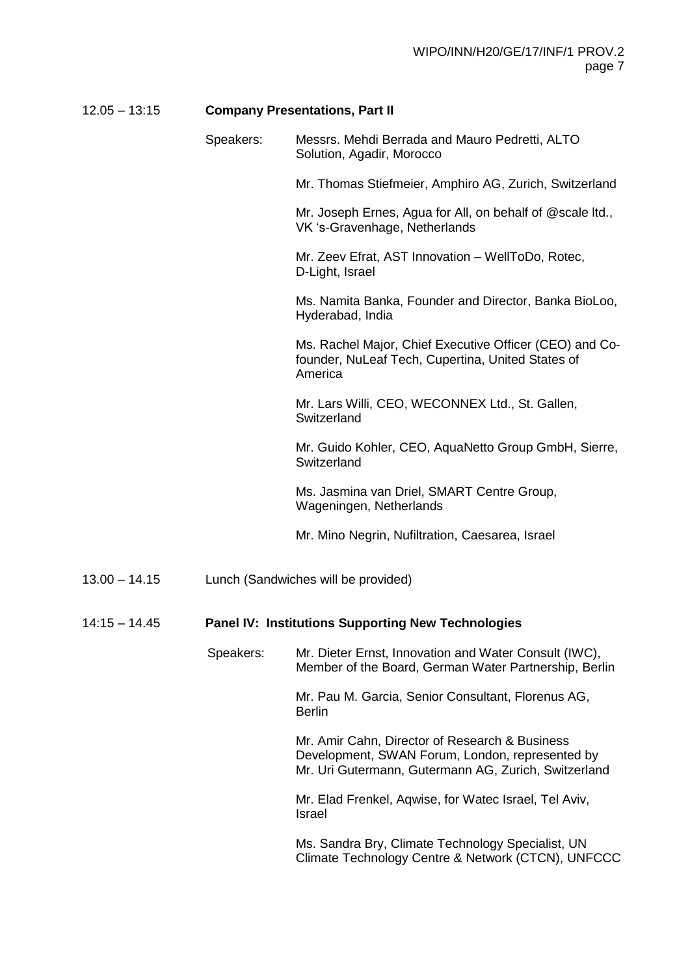# 12.05 – 13:15 **Company Presentations, Part II**

|                 | Speakers: | Messrs. Mehdi Berrada and Mauro Pedretti, ALTO<br>Solution, Agadir, Morocco                                                                               |
|-----------------|-----------|-----------------------------------------------------------------------------------------------------------------------------------------------------------|
|                 |           | Mr. Thomas Stiefmeier, Amphiro AG, Zurich, Switzerland                                                                                                    |
|                 |           | Mr. Joseph Ernes, Agua for All, on behalf of @scale ltd.,<br>VK 's-Gravenhage, Netherlands                                                                |
|                 |           | Mr. Zeev Efrat, AST Innovation - WellToDo, Rotec,<br>D-Light, Israel                                                                                      |
|                 |           | Ms. Namita Banka, Founder and Director, Banka BioLoo,<br>Hyderabad, India                                                                                 |
|                 |           | Ms. Rachel Major, Chief Executive Officer (CEO) and Co-<br>founder, NuLeaf Tech, Cupertina, United States of<br>America                                   |
|                 |           | Mr. Lars Willi, CEO, WECONNEX Ltd., St. Gallen,<br>Switzerland                                                                                            |
|                 |           | Mr. Guido Kohler, CEO, AquaNetto Group GmbH, Sierre,<br>Switzerland                                                                                       |
|                 |           | Ms. Jasmina van Driel, SMART Centre Group,<br>Wageningen, Netherlands                                                                                     |
|                 |           | Mr. Mino Negrin, Nufiltration, Caesarea, Israel                                                                                                           |
| $13.00 - 14.15$ |           | Lunch (Sandwiches will be provided)                                                                                                                       |
| $14:15 - 14.45$ |           | <b>Panel IV: Institutions Supporting New Technologies</b>                                                                                                 |
|                 | Speakers: | Mr. Dieter Ernst, Innovation and Water Consult (IWC),<br>Member of the Board, German Water Partnership, Berlin                                            |
|                 |           | Mr. Pau M. Garcia, Senior Consultant, Florenus AG,<br><b>Berlin</b>                                                                                       |
|                 |           | Mr. Amir Cahn, Director of Research & Business<br>Development, SWAN Forum, London, represented by<br>Mr. Uri Gutermann, Gutermann AG, Zurich, Switzerland |
|                 |           | Mr. Elad Frenkel, Aqwise, for Watec Israel, Tel Aviv,<br><b>Israel</b>                                                                                    |
|                 |           | Ms. Sandra Bry, Climate Technology Specialist, UN<br>Climate Technology Centre & Network (CTCN), UNFCCC                                                   |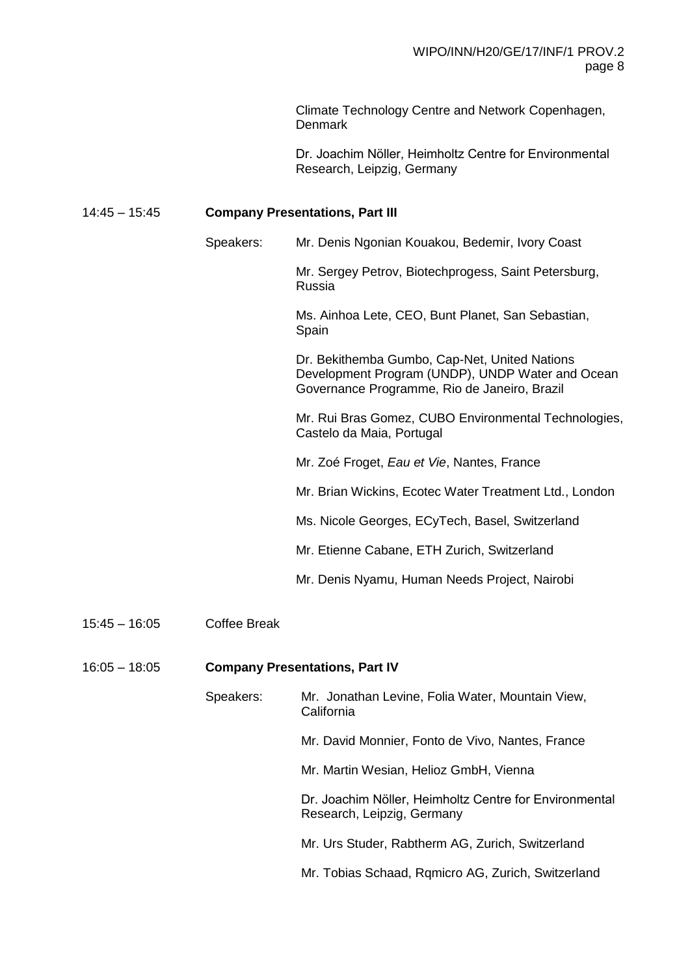Climate Technology Centre and Network Copenhagen, **Denmark** 

Dr. Joachim Nӧller, Heimholtz Centre for Environmental Research, Leipzig, Germany

# 14:45 – 15:45 **Company Presentations, Part III**

|                 | Speakers:           | Mr. Denis Ngonian Kouakou, Bedemir, Ivory Coast                                                                                                   |  |  |
|-----------------|---------------------|---------------------------------------------------------------------------------------------------------------------------------------------------|--|--|
|                 |                     | Mr. Sergey Petrov, Biotechprogess, Saint Petersburg,<br>Russia                                                                                    |  |  |
|                 |                     | Ms. Ainhoa Lete, CEO, Bunt Planet, San Sebastian,<br>Spain                                                                                        |  |  |
|                 |                     | Dr. Bekithemba Gumbo, Cap-Net, United Nations<br>Development Program (UNDP), UNDP Water and Ocean<br>Governance Programme, Rio de Janeiro, Brazil |  |  |
|                 |                     | Mr. Rui Bras Gomez, CUBO Environmental Technologies,<br>Castelo da Maia, Portugal                                                                 |  |  |
|                 |                     | Mr. Zoé Froget, Eau et Vie, Nantes, France                                                                                                        |  |  |
|                 |                     | Mr. Brian Wickins, Ecotec Water Treatment Ltd., London                                                                                            |  |  |
|                 |                     | Ms. Nicole Georges, ECyTech, Basel, Switzerland                                                                                                   |  |  |
|                 |                     | Mr. Etienne Cabane, ETH Zurich, Switzerland                                                                                                       |  |  |
|                 |                     | Mr. Denis Nyamu, Human Needs Project, Nairobi                                                                                                     |  |  |
| $15:45 - 16:05$ | <b>Coffee Break</b> |                                                                                                                                                   |  |  |
| $16:05 - 18:05$ |                     | <b>Company Presentations, Part IV</b>                                                                                                             |  |  |
|                 | Speakers:           | Mr. Jonathan Levine, Folia Water, Mountain View,<br>California                                                                                    |  |  |
|                 |                     | Mr. David Monnier, Fonto de Vivo, Nantes, France                                                                                                  |  |  |
|                 |                     | Mr. Martin Wesian, Helioz GmbH, Vienna                                                                                                            |  |  |
|                 |                     | Dr. Joachim Nöller, Heimholtz Centre for Environmental<br>Research, Leipzig, Germany                                                              |  |  |
|                 |                     | Mr. Urs Studer, Rabtherm AG, Zurich, Switzerland                                                                                                  |  |  |

Mr. Tobias Schaad, Rqmicro AG, Zurich, Switzerland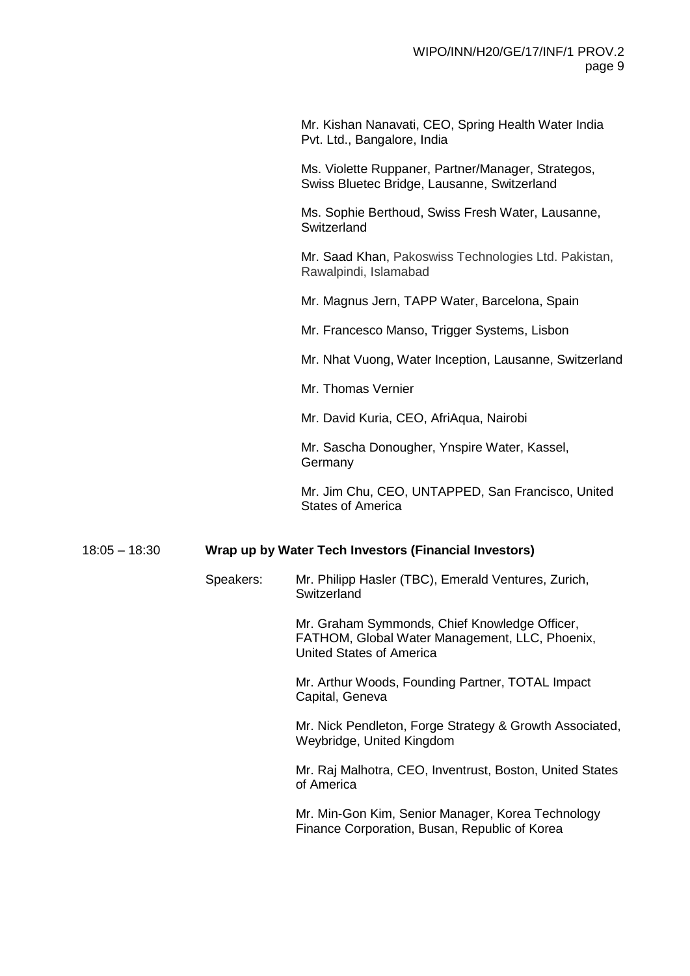Mr. Kishan Nanavati, CEO, Spring Health Water India Pvt. Ltd., Bangalore, India

Ms. Violette Ruppaner, Partner/Manager, Strategos, Swiss Bluetec Bridge, Lausanne, Switzerland

Ms. Sophie Berthoud, Swiss Fresh Water, Lausanne, **Switzerland** 

Mr. Saad Khan, Pakoswiss Technologies Ltd. Pakistan, Rawalpindi, Islamabad

Mr. Magnus Jern, TAPP Water, Barcelona, Spain

Mr. Francesco Manso, Trigger Systems, Lisbon

Mr. Nhat Vuong, Water Inception, Lausanne, Switzerland

Mr. Thomas Vernier

Mr. David Kuria, CEO, AfriAqua, Nairobi

Mr. Sascha Donougher, Ynspire Water, Kassel, **Germany** 

Mr. Jim Chu, CEO, UNTAPPED, San Francisco, United States of America

#### 18:05 – 18:30 **Wrap up by Water Tech Investors (Financial Investors)**

Speakers: Mr. Philipp Hasler (TBC), Emerald Ventures, Zurich, **Switzerland** 

> Mr. Graham Symmonds, Chief Knowledge Officer, FATHOM, Global Water Management, LLC, Phoenix, United States of America

Mr. Arthur Woods, Founding Partner, TOTAL Impact Capital, Geneva

Mr. Nick Pendleton, Forge Strategy & Growth Associated, Weybridge, United Kingdom

Mr. Raj Malhotra, CEO, Inventrust, Boston, United States of America

Mr. Min-Gon Kim, Senior Manager, Korea Technology Finance Corporation, Busan, Republic of Korea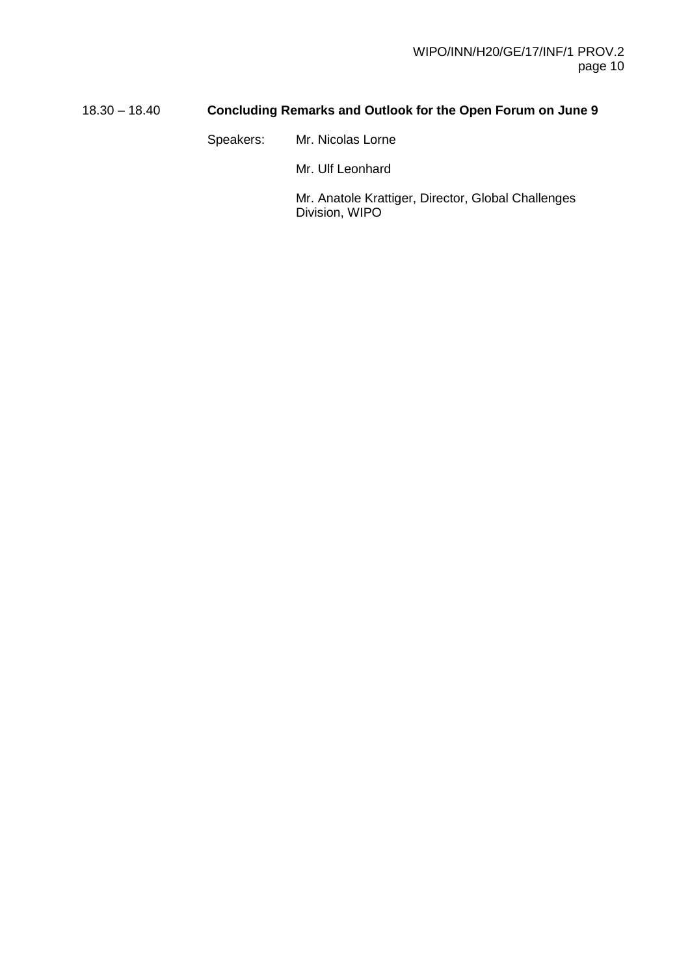# 18.30 – 18.40 **Concluding Remarks and Outlook for the Open Forum on June 9**

Speakers: Mr. Nicolas Lorne

Mr. Ulf Leonhard

Mr. Anatole Krattiger, Director, Global Challenges Division, WIPO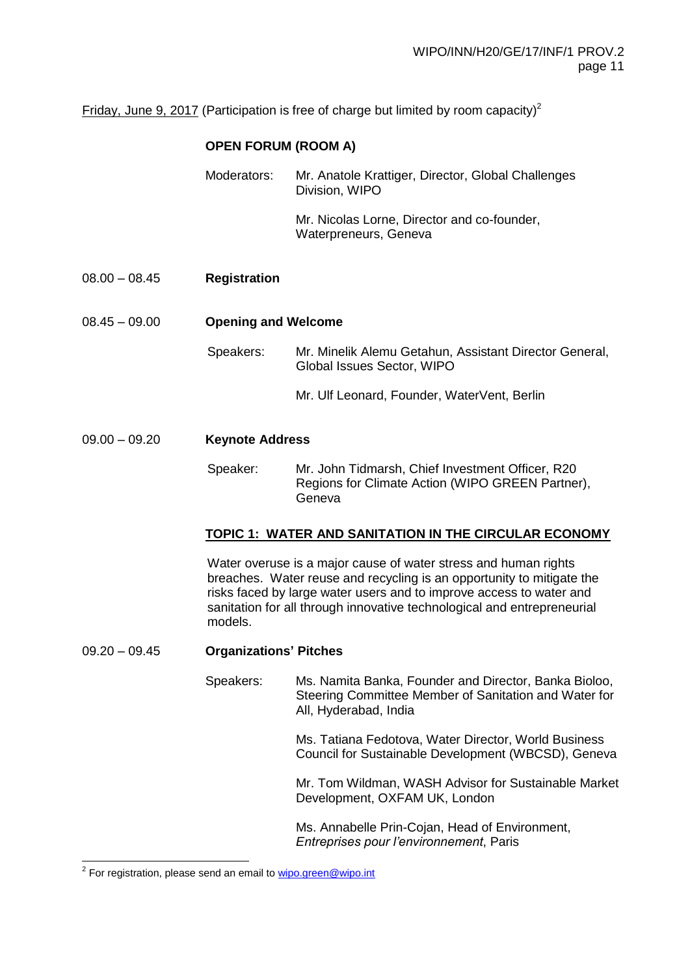Friday, June 9, 2017 (Participation is free of charge but limited by room capacity)<sup>2</sup>

# **OPEN FORUM (ROOM A)**

| Moderators: | Mr. Anatole Krattiger, Director, Global Challenges<br>Division, WIPO |
|-------------|----------------------------------------------------------------------|
|             | Mr. Nicolas Lorne, Director and co-founder,<br>Waterpreneurs, Geneva |

08.00 – 08.45 **Registration**

08.45 – 09.00 **Opening and Welcome**

- Speakers: Mr. Minelik Alemu Getahun, Assistant Director General, Global Issues Sector, WIPO
	- Mr. Ulf Leonard, Founder, WaterVent, Berlin

#### 09.00 – 09.20 **Keynote Address**

Speaker: Mr. John Tidmarsh, Chief Investment Officer, R20 Regions for Climate Action (WIPO GREEN Partner), **Geneva** 

#### **TOPIC 1: WATER AND SANITATION IN THE CIRCULAR ECONOMY**

Water overuse is a major cause of water stress and human rights breaches. Water reuse and recycling is an opportunity to mitigate the risks faced by large water users and to improve access to water and sanitation for all through innovative technological and entrepreneurial models.

### 09.20 – 09.45 **Organizations' Pitches**

Speakers: Ms. Namita Banka, Founder and Director, Banka Bioloo, Steering Committee Member of Sanitation and Water for All, Hyderabad, India

> Ms. Tatiana Fedotova, Water Director, World Business Council for Sustainable Development (WBCSD), Geneva

> Mr. Tom Wildman, WASH Advisor for Sustainable Market Development, OXFAM UK, London

Ms. Annabelle Prin-Cojan, Head of Environment, *Entreprises pour l'environnement*, Paris

 2 For registration, please send an email to [wipo.green@wipo.int](mailto:wipo.green@wipo.int)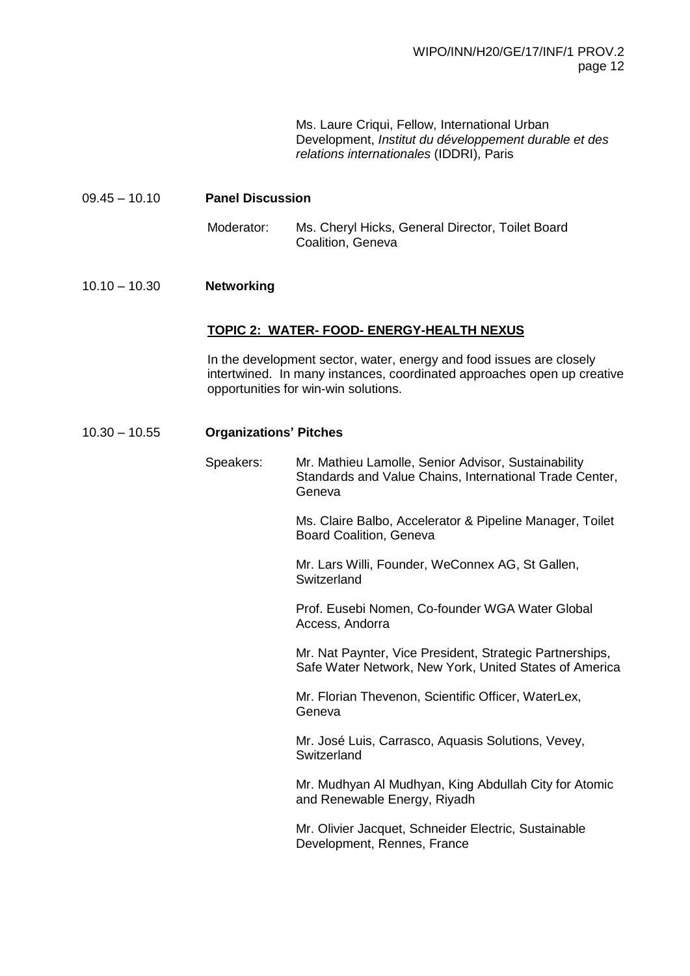Ms. Laure Criqui, Fellow, International Urban Development, *Institut du développement durable et des relations internationales* (IDDRI), Paris

#### 09.45 – 10.10 **Panel Discussion**

Moderator: Ms. Cheryl Hicks, General Director, Toilet Board Coalition, Geneva

#### 10.10 – 10.30 **Networking**

#### **TOPIC 2: WATER- FOOD- ENERGY-HEALTH NEXUS**

In the development sector, water, energy and food issues are closely intertwined. In many instances, coordinated approaches open up creative opportunities for win-win solutions.

#### 10.30 – 10.55 **Organizations' Pitches**

Speakers: Mr. Mathieu Lamolle, Senior Advisor, Sustainability Standards and Value Chains, International Trade Center, Geneva

> Ms. Claire Balbo, Accelerator & Pipeline Manager, Toilet Board Coalition, Geneva

Mr. Lars Willi, Founder, WeConnex AG, St Gallen, **Switzerland** 

Prof. Eusebi Nomen, Co-founder WGA Water Global Access, Andorra

Mr. Nat Paynter, Vice President, Strategic Partnerships, Safe Water Network, New York, United States of America

Mr. Florian Thevenon, Scientific Officer, WaterLex, Geneva

Mr. José Luis, Carrasco, Aquasis Solutions, Vevey, **Switzerland** 

Mr. Mudhyan Al Mudhyan, King Abdullah City for Atomic and Renewable Energy, Riyadh

Mr. Olivier Jacquet, Schneider Electric, Sustainable Development, Rennes, France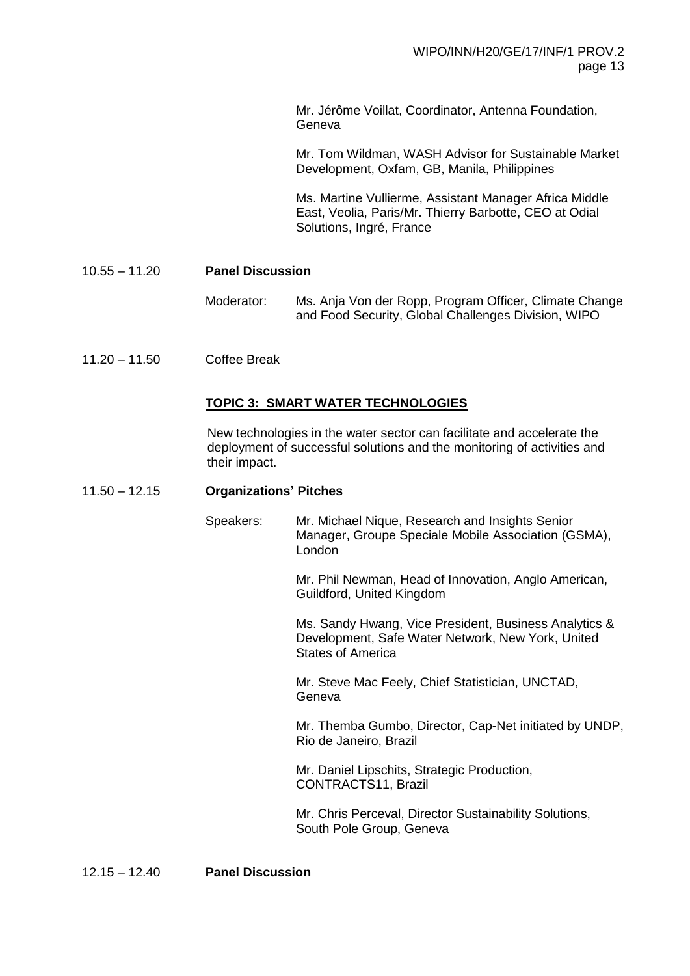Mr. Jérôme Voillat, Coordinator, Antenna Foundation, Geneva

Mr. Tom Wildman, WASH Advisor for Sustainable Market Development, Oxfam, GB, Manila, Philippines

Ms. Martine Vullierme, Assistant Manager Africa Middle East, Veolia, Paris/Mr. Thierry Barbotte, CEO at Odial Solutions, Ingré, France

10.55 – 11.20 **Panel Discussion** 

- Moderator: Ms. Anja Von der Ropp, Program Officer, Climate Change and Food Security, Global Challenges Division, WIPO
- 11.20 11.50 Coffee Break

#### **TOPIC 3: SMART WATER TECHNOLOGIES**

New technologies in the water sector can facilitate and accelerate the deployment of successful solutions and the monitoring of activities and their impact.

#### 11.50 – 12.15 **Organizations' Pitches**

Speakers: Mr. Michael Nique, Research and Insights Senior Manager, Groupe Speciale Mobile Association (GSMA), London

> Mr. Phil Newman, Head of Innovation, Anglo American, Guildford, United Kingdom

Ms. Sandy Hwang, Vice President, Business Analytics & Development, Safe Water Network, New York, United States of America

Mr. Steve Mac Feely, Chief Statistician, UNCTAD, Geneva

Mr. Themba Gumbo, Director, Cap-Net initiated by UNDP, Rio de Janeiro, Brazil

Mr. Daniel Lipschits, Strategic Production, CONTRACTS11, Brazil

Mr. Chris Perceval, Director Sustainability Solutions, South Pole Group, Geneva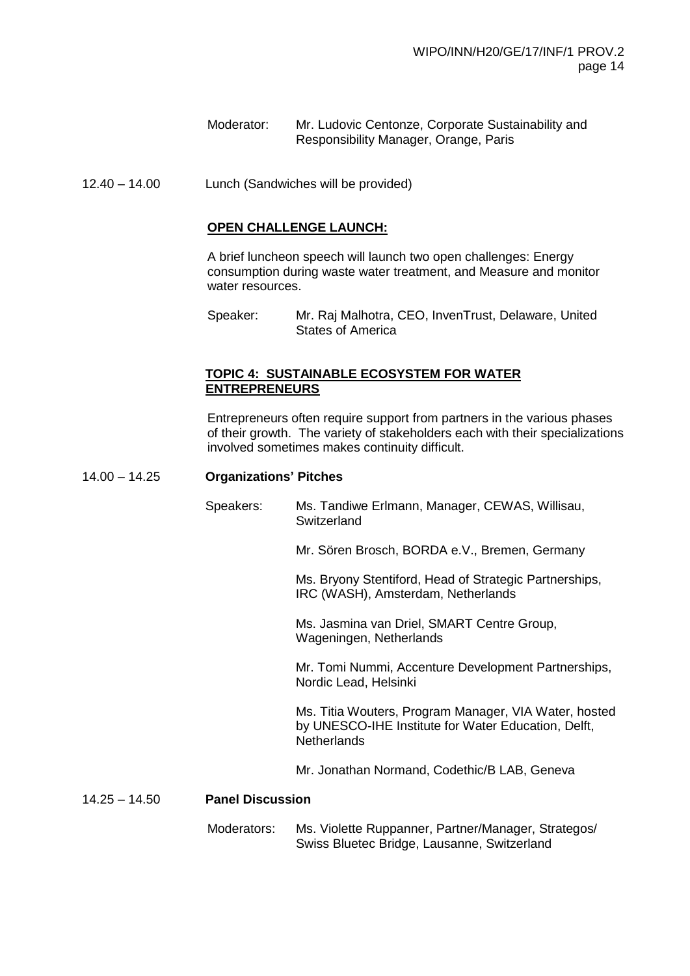Moderator: Mr. Ludovic Centonze, Corporate Sustainability and Responsibility Manager, Orange, Paris

12.40 – 14.00 Lunch (Sandwiches will be provided)

#### **OPEN CHALLENGE LAUNCH:**

A brief luncheon speech will launch two open challenges: Energy consumption during waste water treatment, and Measure and monitor water resources.

#### **TOPIC 4: SUSTAINABLE ECOSYSTEM FOR WATER ENTREPRENEURS**

Entrepreneurs often require support from partners in the various phases of their growth. The variety of stakeholders each with their specializations involved sometimes makes continuity difficult.

#### 14.00 – 14.25 **Organizations' Pitches**

Speakers: Ms. Tandiwe Erlmann, Manager, CEWAS, Willisau, **Switzerland** 

Mr. Sören Brosch, BORDA e.V., Bremen, Germany

Ms. Bryony Stentiford, Head of Strategic Partnerships, IRC (WASH), Amsterdam, Netherlands

Ms. Jasmina van Driel, SMART Centre Group, Wageningen, Netherlands

Mr. Tomi Nummi, Accenture Development Partnerships, Nordic Lead, Helsinki

Ms. Titia Wouters, Program Manager, VIA Water, hosted by UNESCO-IHE Institute for Water Education, Delft, **Netherlands** 

Mr. Jonathan Normand, Codethic/B LAB, Geneva

#### 14.25 – 14.50 **Panel Discussion**

Moderators: Ms. Violette Ruppanner, Partner/Manager, Strategos/ Swiss Bluetec Bridge, Lausanne, Switzerland

Speaker: Mr. Raj Malhotra, CEO, InvenTrust, Delaware, United States of America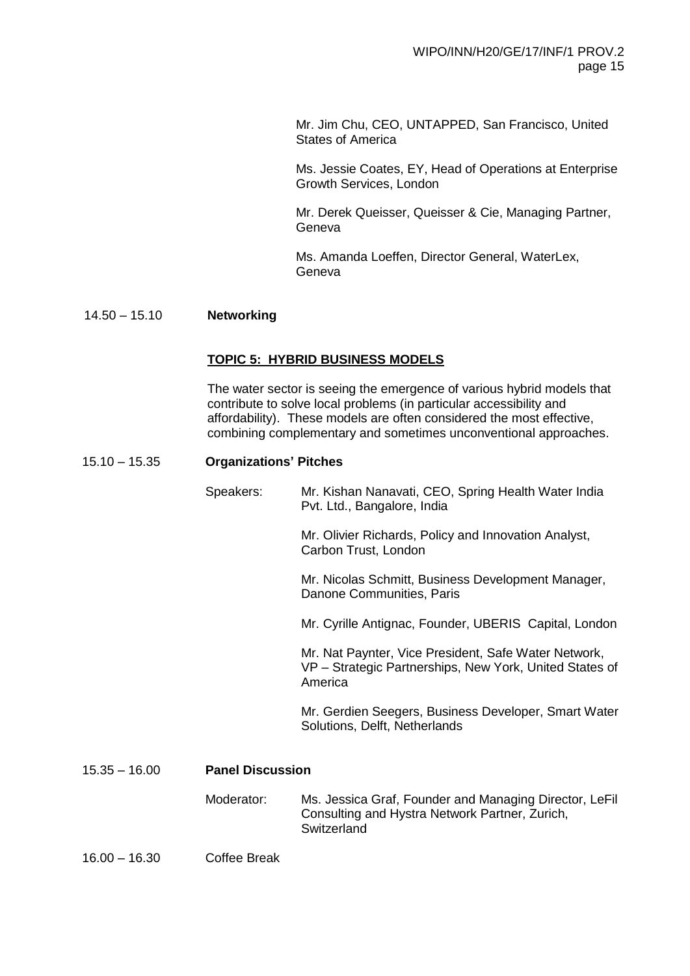Mr. Jim Chu, CEO, UNTAPPED, San Francisco, United States of America

Ms. Jessie Coates, EY, Head of Operations at Enterprise Growth Services, London

Mr. Derek Queisser, Queisser & Cie, Managing Partner, Geneva

Ms. Amanda Loeffen, Director General, WaterLex, Geneva

## 14.50 – 15.10 **Networking**

#### **TOPIC 5: HYBRID BUSINESS MODELS**

The water sector is seeing the emergence of various hybrid models that contribute to solve local problems (in particular accessibility and affordability). These models are often considered the most effective, combining complementary and sometimes unconventional approaches.

#### 15.10 – 15.35 **Organizations' Pitches**

Speakers: Mr. Kishan Nanavati, CEO, Spring Health Water India Pvt. Ltd., Bangalore, India Mr. Olivier Richards, Policy and Innovation Analyst, Carbon Trust, London Mr. Nicolas Schmitt, Business Development Manager, Danone Communities, Paris Mr. Cyrille Antignac, Founder, UBERIS Capital, London Mr. Nat Paynter, Vice President, Safe Water Network, VP – Strategic Partnerships, New York, United States of America Mr. Gerdien Seegers, Business Developer, Smart Water Solutions, Delft, Netherlands

# 15.35 – 16.00 **Panel Discussion**

- Moderator: Ms. Jessica Graf, Founder and Managing Director, LeFil Consulting and Hystra Network Partner, Zurich, **Switzerland**
- 16.00 16.30 Coffee Break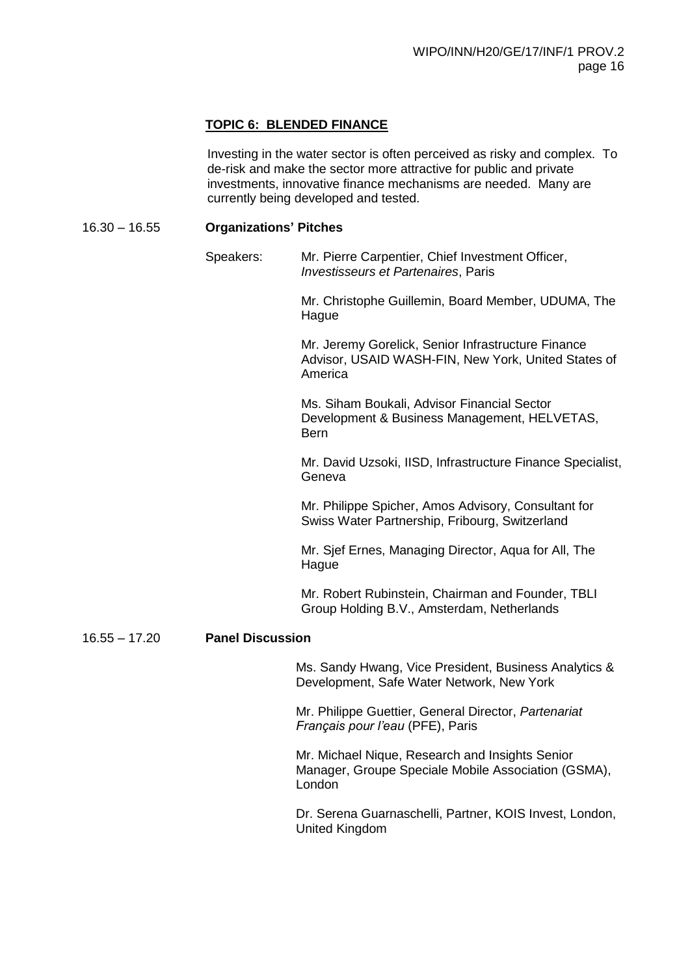#### **TOPIC 6: BLENDED FINANCE**

Investing in the water sector is often perceived as risky and complex. To de-risk and make the sector more attractive for public and private investments, innovative finance mechanisms are needed. Many are currently being developed and tested.

#### 16.30 – 16.55 **Organizations' Pitches**

Speakers: Mr. Pierre Carpentier, Chief Investment Officer, *Investisseurs et Partenaires*, Paris

> Mr. Christophe Guillemin, Board Member, UDUMA, The Hague

> Mr. Jeremy Gorelick, Senior Infrastructure Finance Advisor, USAID WASH-FIN, New York, United States of America

Ms. Siham Boukali, Advisor Financial Sector Development & Business Management, HELVETAS, Bern

Mr. David Uzsoki, IISD, Infrastructure Finance Specialist, Geneva

Mr. Philippe Spicher, Amos Advisory, Consultant for Swiss Water Partnership, Fribourg, Switzerland

Mr. Sjef Ernes, Managing Director, Aqua for All, The **Hague** 

Mr. Robert Rubinstein, Chairman and Founder, TBLI Group Holding B.V., Amsterdam, Netherlands

16.55 – 17.20 **Panel Discussion**

Ms. Sandy Hwang, Vice President, Business Analytics & Development, Safe Water Network, New York

Mr. Philippe Guettier, General Director, *Partenariat Français pour l'eau* (PFE), Paris

Mr. Michael Nique, Research and Insights Senior Manager, Groupe Speciale Mobile Association (GSMA), London

Dr. Serena Guarnaschelli, Partner, KOIS Invest, London, United Kingdom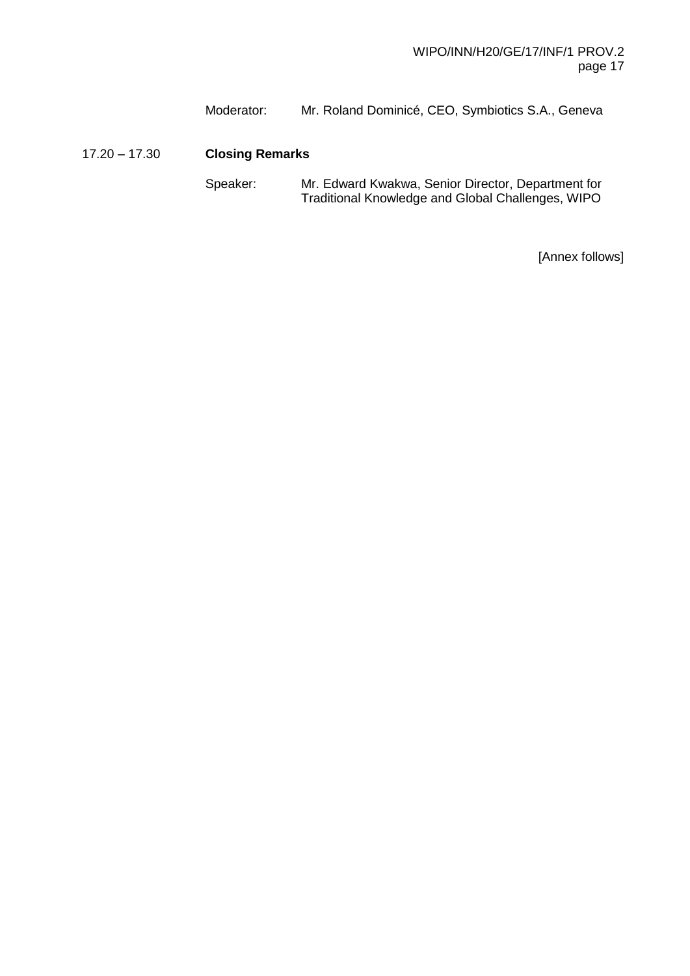Moderator: Mr. Roland Dominicé, CEO, Symbiotics S.A., Geneva

17.20 – 17.30 **Closing Remarks**

Speaker: Mr. Edward Kwakwa, Senior Director, Department for Traditional Knowledge and Global Challenges, WIPO

[Annex follows]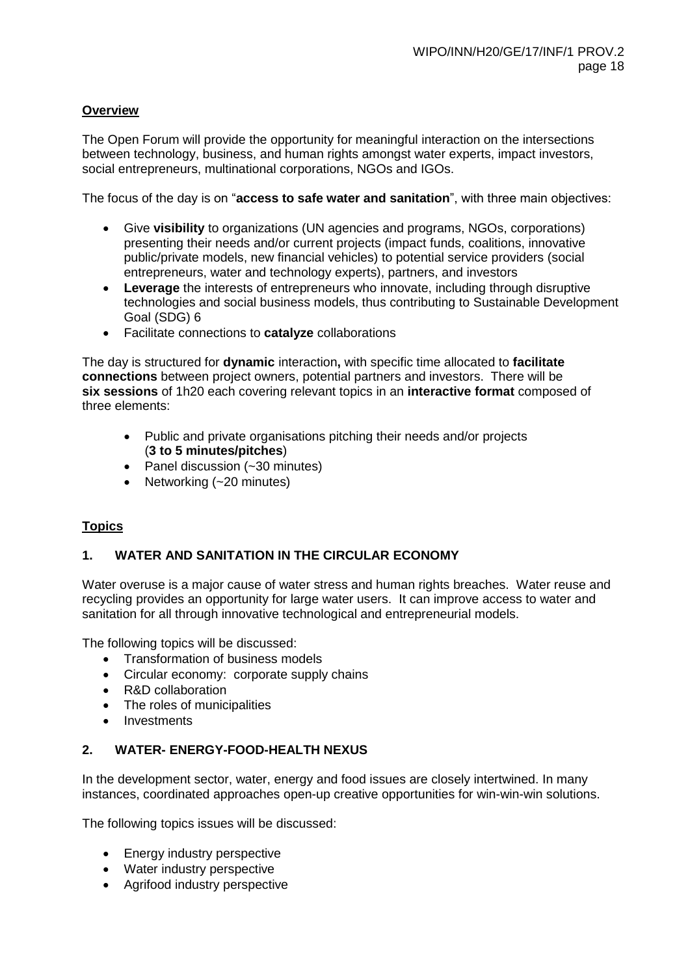# **Overview**

The Open Forum will provide the opportunity for meaningful interaction on the intersections between technology, business, and human rights amongst water experts, impact investors, social entrepreneurs, multinational corporations, NGOs and IGOs.

The focus of the day is on "**access to safe water and sanitation**", with three main objectives:

- Give **visibility** to organizations (UN agencies and programs, NGOs, corporations) presenting their needs and/or current projects (impact funds, coalitions, innovative public/private models, new financial vehicles) to potential service providers (social entrepreneurs, water and technology experts), partners, and investors
- **Leverage** the interests of entrepreneurs who innovate, including through disruptive technologies and social business models, thus contributing to Sustainable Development Goal (SDG) 6
- Facilitate connections to **catalyze** collaborations

The day is structured for **dynamic** interaction**,** with specific time allocated to **facilitate connections** between project owners, potential partners and investors. There will be **six sessions** of 1h20 each covering relevant topics in an **interactive format** composed of three elements:

- Public and private organisations pitching their needs and/or projects (**3 to 5 minutes/pitches**)
- Panel discussion (~30 minutes)
- Networking (~20 minutes)

# **Topics**

#### **1. WATER AND SANITATION IN THE CIRCULAR ECONOMY**

Water overuse is a major cause of water stress and human rights breaches. Water reuse and recycling provides an opportunity for large water users. It can improve access to water and sanitation for all through innovative technological and entrepreneurial models.

The following topics will be discussed:

- Transformation of business models
- Circular economy: corporate supply chains
- R&D collaboration
- The roles of municipalities
- Investments

#### **2. WATER- ENERGY-FOOD-HEALTH NEXUS**

In the development sector, water, energy and food issues are closely intertwined. In many instances, coordinated approaches open-up creative opportunities for win-win-win solutions.

The following topics issues will be discussed:

- Energy industry perspective
- Water industry perspective
- Agrifood industry perspective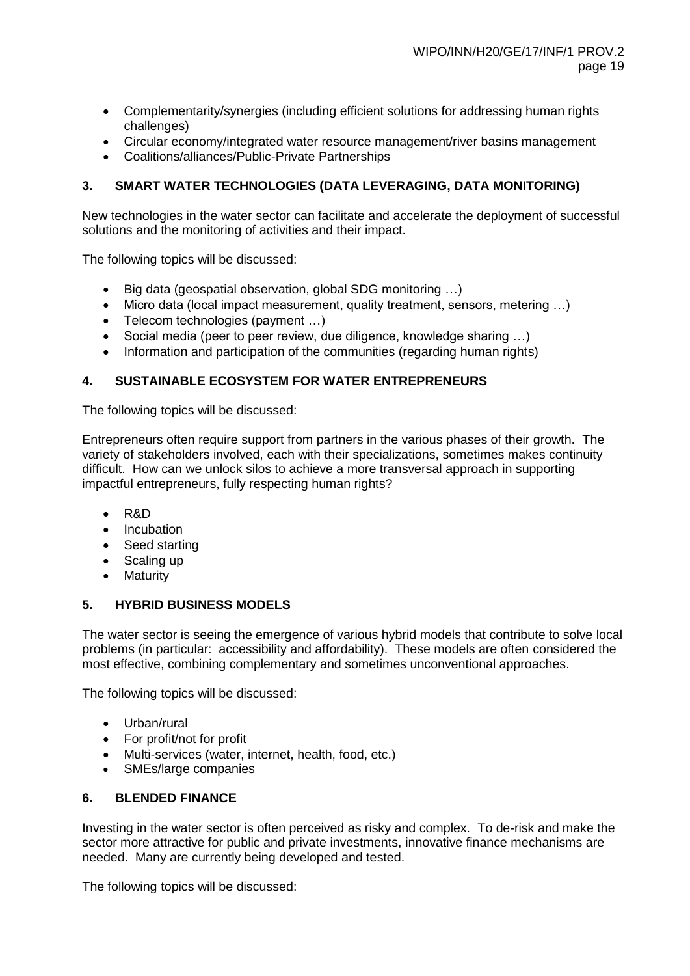- Complementarity/synergies (including efficient solutions for addressing human rights challenges)
- Circular economy/integrated water resource management/river basins management
- Coalitions/alliances/Public-Private Partnerships

# **3. SMART WATER TECHNOLOGIES (DATA LEVERAGING, DATA MONITORING)**

New technologies in the water sector can facilitate and accelerate the deployment of successful solutions and the monitoring of activities and their impact.

The following topics will be discussed:

- Big data (geospatial observation, global SDG monitoring ...)
- Micro data (local impact measurement, quality treatment, sensors, metering …)
- Telecom technologies (payment ...)
- Social media (peer to peer review, due diligence, knowledge sharing …)
- Information and participation of the communities (regarding human rights)

# **4. SUSTAINABLE ECOSYSTEM FOR WATER ENTREPRENEURS**

The following topics will be discussed:

Entrepreneurs often require support from partners in the various phases of their growth. The variety of stakeholders involved, each with their specializations, sometimes makes continuity difficult. How can we unlock silos to achieve a more transversal approach in supporting impactful entrepreneurs, fully respecting human rights?

- R&D
- Incubation
- Seed starting
- Scaling up
- Maturity

#### **5. HYBRID BUSINESS MODELS**

The water sector is seeing the emergence of various hybrid models that contribute to solve local problems (in particular: accessibility and affordability). These models are often considered the most effective, combining complementary and sometimes unconventional approaches.

The following topics will be discussed:

- Urban/rural
- For profit/not for profit
- Multi-services (water, internet, health, food, etc.)
- SMEs/large companies

#### **6. BLENDED FINANCE**

Investing in the water sector is often perceived as risky and complex. To de-risk and make the sector more attractive for public and private investments, innovative finance mechanisms are needed. Many are currently being developed and tested.

The following topics will be discussed: